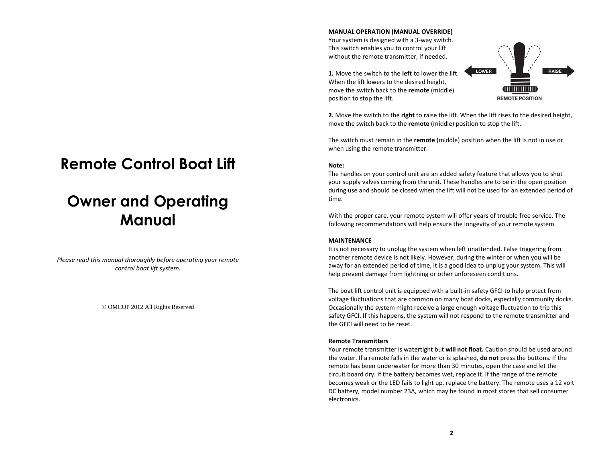# **Remote Control Boat Lift**

# **Owner and Operating Manual**

*Please read this manual thoroughly before operating your remote control boat lift system.*

© OMCOP 2012 All Rights Reserved

### **MANUAL OPERATION (MANUAL OVERRIDE)**

Your system is designed with a 3-way switch. This switch enables you to control your lift without the remote transmitter, if needed.

**1.** Move the switch to the **left** to lower the lift. When the lift lowers to the desired height, move the switch back to the **remote** (middle) position to stop the lift.



**2.** Move the switch to the **right** to raise the lift. When the lift rises to the desired height, move the switch back to the **remote** (middle) position to stop the lift.

The switch must remain in the **remote** (middle) position when the lift is not in use or when using the remote transmitter.

## **Note:**

The handles on your control unit are an added safety feature that allows you to shut your supply valves coming from the unit. These handles are to be in the open position during use and should be closed when the lift will not be used for an extended period of time.

With the proper care, your remote system will offer years of trouble free service. The following recommendations will help ensure the longevity of your remote system.

## **MAINTENANCE**

It is not necessary to unplug the system when left unattended. False triggering from another remote device is not likely. However, during the winter or when you will be away for an extended period of time, it is a good idea to unplug your system. This will help prevent damage from lightning or other unforeseen conditions.

The boat lift control unit is equipped with a built-in safety GFCI to help protect from voltage fluctuations that are common on many boat docks, especially community docks. Occasionally the system might receive a large enough voltage fluctuation to trip this safety GFCI. If this happens, the system will not respond to the remote transmitter and the GFCI will need to be reset.

#### **Remote Transmitters**

Your remote transmitter is watertight but **will not float.** Caution should be used around the water. If a remote falls in the water or is splashed, **do not** press the buttons. If the remote has been underwater for more than 30 minutes, open the case and let the circuit board dry. If the battery becomes wet, replace it. If the range of the remote becomes weak or the LED fails to light up, replace the battery. The remote uses a 12 volt DC battery, model number 23A, which may be found in most stores that sell consumer electronics.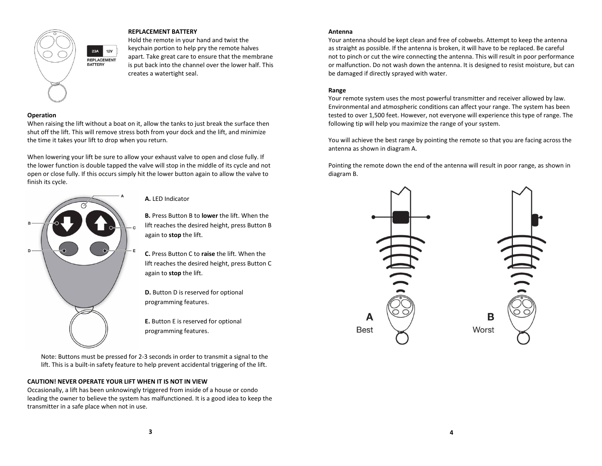

**12V** 

## **REPLACEMENT BATTERY**

Hold the remote in your hand and twist the keychain portion to help pry the remote halves apart. Take great care to ensure that the membrane is put back into the channel over the lower half. This creates a watertight seal.

### **Operation**

When raising the lift without a boat on it, allow the tanks to just break the surface then shut off the lift. This will remove stress both from your dock and the lift, and minimize the time it takes your lift to drop when you return.

When lowering your lift be sure to allow your exhaust valve to open and close fully. If the lower function is double tapped the valve will stop in the middle of its cycle and not open or close fully. If this occurs simply hit the lower button again to allow the valve to finish its cycle.



**A.** LED Indicator

**B.** Press Button B to **lower** the lift. When the lift reaches the desired height, press Button B again to **stop** the lift.

**C.** Press Button C to **raise** the lift. When the lift reaches the desired height, press Button C again to **stop** the lift.

**D.** Button D is reserved for optional programming features.

**E.** Button E is reserved for optional programming features.

Note: Buttons must be pressed for 2-3 seconds in order to transmit a signal to the lift. This is a built-in safety feature to help prevent accidental triggering of the lift.

#### **CAUTION! NEVER OPERATE YOUR LIFT WHEN IT IS NOT IN VIEW**

Occasionally, a lift has been unknowingly triggered from inside of a house or condo leading the owner to believe the system has malfunctioned. It is a good idea to keep the transmitter in a safe place when not in use.

#### **Antenna**

Your antenna should be kept clean and free of cobwebs. Attempt to keep the antenna as straight as possible. If the antenna is broken, it will have to be replaced. Be careful not to pinch or cut the wire connecting the antenna. This will result in poor performance or malfunction. Do not wash down the antenna. It is designed to resist moisture, but can be damaged if directly sprayed with water.

#### **Range**

Your remote system uses the most powerful transmitter and receiver allowed by law. Environmental and atmospheric conditions can affect your range. The system has been tested to over 1,500 feet. However, not everyone will experience this type of range. The following tip will help you maximize the range of your system.

You will achieve the best range by pointing the remote so that you are facing across the antenna as shown in diagram A.

Pointing the remote down the end of the antenna will result in poor range, as shown in diagram B.